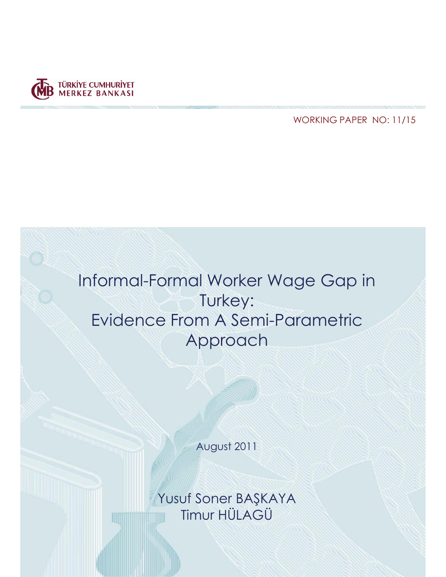

**WORKING PAPER NO: 11/15** 



August 2011

Yusuf Soner BAŞKAYA<br>Timur HÜLAGÜ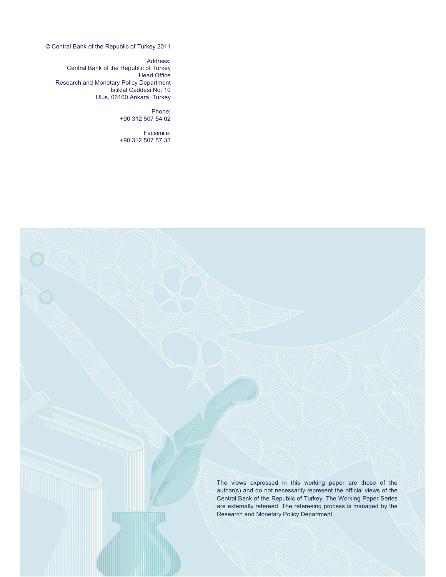© Central Bank of the Republic of Turkey 2011

Address: Central Bank of the Republic of Turkey Head Office Research and Monetary Policy Department İstiklal Caddesi No: 10 Ulus, 06100 Ankara, Turkey

> Phone: +90 312 507 54 02

Facsimile: +90 312 507 57 33

> The views expressed in this working paper are those of the author(s) and do not necessarily represent the official views of the Central Bank of the Republic of Turkey. The Working Paper Series are externally refereed. The refereeing process is managed by the Research and Monetary Policy Department.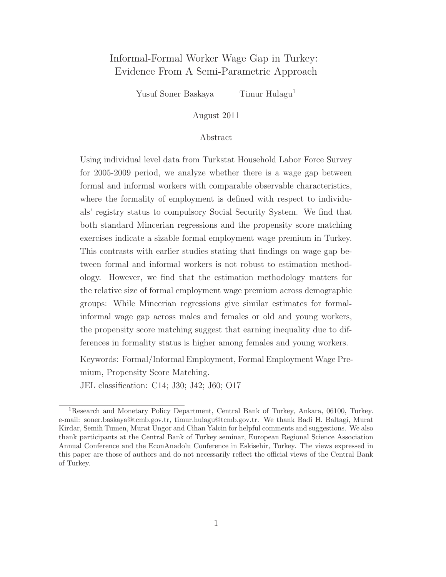### Informal-Formal Worker Wage Gap in Turkey: Evidence From A Semi-Parametric Approach

Yusuf Soner Baskaya Timur Hulagu<sup>1</sup>

August 2011

#### Abstract

Using individual level data from Turkstat Household Labor Force Survey for 2005-2009 period, we analyze whether there is a wage gap between formal and informal workers with comparable observable characteristics, where the formality of employment is defined with respect to individuals' registry status to compulsory Social Security System. We find that both standard Mincerian regressions and the propensity score matching exercises indicate a sizable formal employment wage premium in Turkey. This contrasts with earlier studies stating that findings on wage gap between formal and informal workers is not robust to estimation methodology. However, we find that the estimation methodology matters for the relative size of formal employment wage premium across demographic groups: While Mincerian regressions give similar estimates for formalinformal wage gap across males and females or old and young workers, the propensity score matching suggest that earning inequality due to differences in formality status is higher among females and young workers.

Keywords: Formal/Informal Employment, Formal Employment Wage Premium, Propensity Score Matching. JEL classification: C14; J30; J42; J60; O17

<sup>1</sup>Research and Monetary Policy Department, Central Bank of Turkey, Ankara, 06100, Turkey. e-mail: soner.baskaya@tcmb.gov.tr, timur.hulagu@tcmb.gov.tr. We thank Badi H. Baltagi, Murat Kirdar, Semih Tumen, Murat Ungor and Cihan Yalcin for helpful comments and suggestions. We also thank participants at the Central Bank of Turkey seminar, European Regional Science Association Annual Conference and the EconAnadolu Conference in Eskisehir, Turkey. The views expressed in this paper are those of authors and do not necessarily reflect the official views of the Central Bank of Turkey.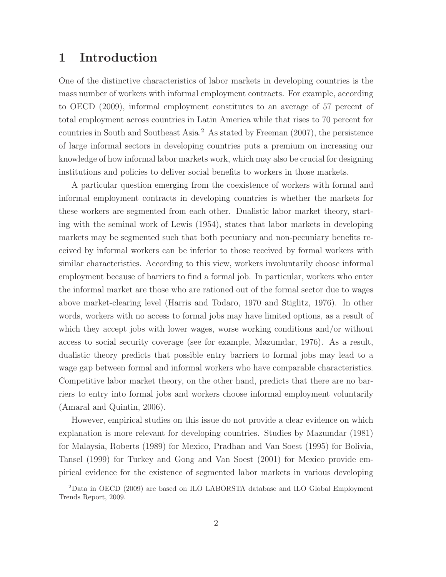### 1 Introduction

One of the distinctive characteristics of labor markets in developing countries is the mass number of workers with informal employment contracts. For example, according to OECD (2009), informal employment constitutes to an average of 57 percent of total employment across countries in Latin America while that rises to 70 percent for countries in South and Southeast Asia.<sup>2</sup> As stated by Freeman  $(2007)$ , the persistence of large informal sectors in developing countries puts a premium on increasing our knowledge of how informal labor markets work, which may also be crucial for designing institutions and policies to deliver social benefits to workers in those markets.

A particular question emerging from the coexistence of workers with formal and informal employment contracts in developing countries is whether the markets for these workers are segmented from each other. Dualistic labor market theory, starting with the seminal work of Lewis (1954), states that labor markets in developing markets may be segmented such that both pecuniary and non-pecuniary benefits received by informal workers can be inferior to those received by formal workers with similar characteristics. According to this view, workers involuntarily choose informal employment because of barriers to find a formal job. In particular, workers who enter the informal market are those who are rationed out of the formal sector due to wages above market-clearing level (Harris and Todaro, 1970 and Stiglitz, 1976). In other words, workers with no access to formal jobs may have limited options, as a result of which they accept jobs with lower wages, worse working conditions and/or without access to social security coverage (see for example, Mazumdar, 1976). As a result, dualistic theory predicts that possible entry barriers to formal jobs may lead to a wage gap between formal and informal workers who have comparable characteristics. Competitive labor market theory, on the other hand, predicts that there are no barriers to entry into formal jobs and workers choose informal employment voluntarily (Amaral and Quintin, 2006).

However, empirical studies on this issue do not provide a clear evidence on which explanation is more relevant for developing countries. Studies by Mazumdar (1981) for Malaysia, Roberts (1989) for Mexico, Pradhan and Van Soest (1995) for Bolivia, Tansel (1999) for Turkey and Gong and Van Soest (2001) for Mexico provide empirical evidence for the existence of segmented labor markets in various developing

<sup>2</sup>Data in OECD (2009) are based on ILO LABORSTA database and ILO Global Employment Trends Report, 2009.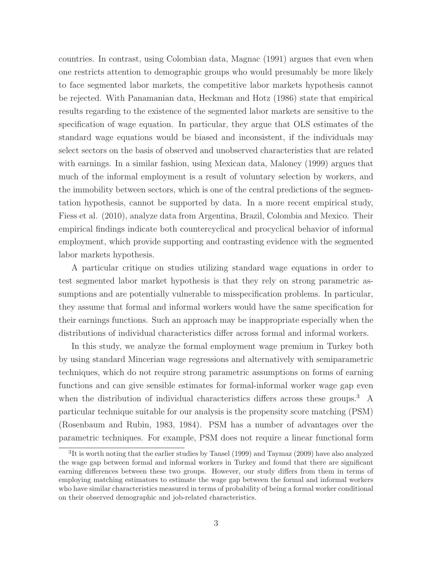countries. In contrast, using Colombian data, Magnac (1991) argues that even when one restricts attention to demographic groups who would presumably be more likely to face segmented labor markets, the competitive labor markets hypothesis cannot be rejected. With Panamanian data, Heckman and Hotz (1986) state that empirical results regarding to the existence of the segmented labor markets are sensitive to the specification of wage equation. In particular, they argue that OLS estimates of the standard wage equations would be biased and inconsistent, if the individuals may select sectors on the basis of observed and unobserved characteristics that are related with earnings. In a similar fashion, using Mexican data, Maloney (1999) argues that much of the informal employment is a result of voluntary selection by workers, and the immobility between sectors, which is one of the central predictions of the segmentation hypothesis, cannot be supported by data. In a more recent empirical study, Fiess et al. (2010), analyze data from Argentina, Brazil, Colombia and Mexico. Their empirical findings indicate both countercyclical and procyclical behavior of informal employment, which provide supporting and contrasting evidence with the segmented labor markets hypothesis.

A particular critique on studies utilizing standard wage equations in order to test segmented labor market hypothesis is that they rely on strong parametric assumptions and are potentially vulnerable to misspecification problems. In particular, they assume that formal and informal workers would have the same specification for their earnings functions. Such an approach may be inappropriate especially when the distributions of individual characteristics differ across formal and informal workers.

In this study, we analyze the formal employment wage premium in Turkey both by using standard Mincerian wage regressions and alternatively with semiparametric techniques, which do not require strong parametric assumptions on forms of earning functions and can give sensible estimates for formal-informal worker wage gap even when the distribution of individual characteristics differs across these groups.<sup>3</sup> A particular technique suitable for our analysis is the propensity score matching (PSM) (Rosenbaum and Rubin, 1983, 1984). PSM has a number of advantages over the parametric techniques. For example, PSM does not require a linear functional form

<sup>&</sup>lt;sup>3</sup>It is worth noting that the earlier studies by Tansel (1999) and Taymaz (2009) have also analyzed the wage gap between formal and informal workers in Turkey and found that there are significant earning differences between these two groups. However, our study differs from them in terms of employing matching estimators to estimate the wage gap between the formal and informal workers who have similar characteristics measured in terms of probability of being a formal worker conditional on their observed demographic and job-related characteristics.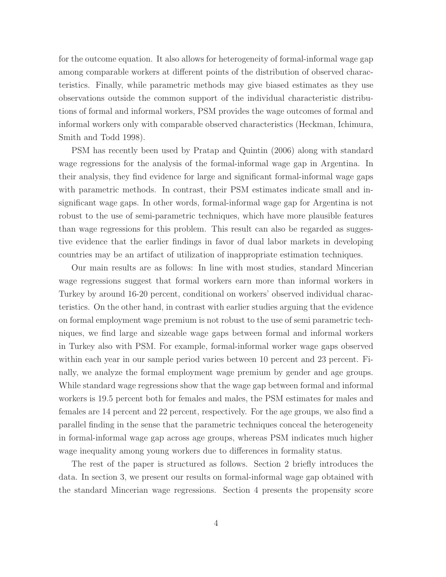for the outcome equation. It also allows for heterogeneity of formal-informal wage gap among comparable workers at different points of the distribution of observed characteristics. Finally, while parametric methods may give biased estimates as they use observations outside the common support of the individual characteristic distributions of formal and informal workers, PSM provides the wage outcomes of formal and informal workers only with comparable observed characteristics (Heckman, Ichimura, Smith and Todd 1998).

PSM has recently been used by Pratap and Quintin (2006) along with standard wage regressions for the analysis of the formal-informal wage gap in Argentina. In their analysis, they find evidence for large and significant formal-informal wage gaps with parametric methods. In contrast, their PSM estimates indicate small and insignificant wage gaps. In other words, formal-informal wage gap for Argentina is not robust to the use of semi-parametric techniques, which have more plausible features than wage regressions for this problem. This result can also be regarded as suggestive evidence that the earlier findings in favor of dual labor markets in developing countries may be an artifact of utilization of inappropriate estimation techniques.

Our main results are as follows: In line with most studies, standard Mincerian wage regressions suggest that formal workers earn more than informal workers in Turkey by around 16-20 percent, conditional on workers' observed individual characteristics. On the other hand, in contrast with earlier studies arguing that the evidence on formal employment wage premium is not robust to the use of semi parametric techniques, we find large and sizeable wage gaps between formal and informal workers in Turkey also with PSM. For example, formal-informal worker wage gaps observed within each year in our sample period varies between 10 percent and 23 percent. Finally, we analyze the formal employment wage premium by gender and age groups. While standard wage regressions show that the wage gap between formal and informal workers is 19.5 percent both for females and males, the PSM estimates for males and females are 14 percent and 22 percent, respectively. For the age groups, we also find a parallel finding in the sense that the parametric techniques conceal the heterogeneity in formal-informal wage gap across age groups, whereas PSM indicates much higher wage inequality among young workers due to differences in formality status.

The rest of the paper is structured as follows. Section 2 briefly introduces the data. In section 3, we present our results on formal-informal wage gap obtained with the standard Mincerian wage regressions. Section 4 presents the propensity score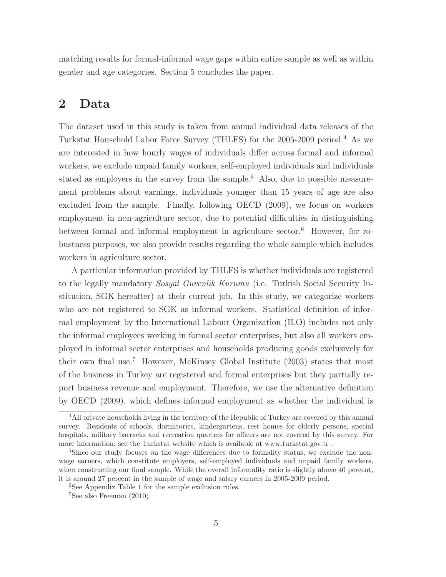matching results for formal-informal wage gaps within entire sample as well as within gender and age categories. Section 5 concludes the paper.

## 2 Data

The dataset used in this study is taken from annual individual data releases of the Turkstat Household Labor Force Survey (THLFS) for the 2005-2009 period.<sup>4</sup> As we are interested in how hourly wages of individuals differ across formal and informal workers, we exclude unpaid family workers, self-employed individuals and individuals stated as employers in the survey from the sample.<sup>5</sup> Also, due to possible measurement problems about earnings, individuals younger than 15 years of age are also excluded from the sample. Finally, following OECD (2009), we focus on workers employment in non-agriculture sector, due to potential difficulties in distinguishing between formal and informal employment in agriculture sector.<sup>6</sup> However, for robustness purposes, we also provide results regarding the whole sample which includes workers in agriculture sector.

A particular information provided by THLFS is whether individuals are registered to the legally mandatory Sosyal Guvenlik Kurumu (i.e. Turkish Social Security Institution, SGK hereafter) at their current job. In this study, we categorize workers who are not registered to SGK as informal workers. Statistical definition of informal employment by the International Labour Organization (ILO) includes not only the informal employees working in formal sector enterprises, but also all workers employed in informal sector enterprises and households producing goods exclusively for their own final use.<sup>7</sup> However, McKinsey Global Institute (2003) states that most of the business in Turkey are registered and formal enterprises but they partially report business revenue and employment. Therefore, we use the alternative definition by OECD (2009), which defines informal employment as whether the individual is

<sup>&</sup>lt;sup>4</sup>All private households living in the territory of the Republic of Turkey are covered by this annual survey. Residents of schools, dormitories, kindergartens, rest homes for elderly persons, special hospitals, military barracks and recreation quarters for officers are not covered by this survey. For more information, see the Turkstat website which is available at www.turkstat.gov.tr .

<sup>&</sup>lt;sup>5</sup>Since our study focuses on the wage differences due to formality status, we exclude the nonwage earners, which constitute employers, self-employed individuals and unpaid family workers, when constructing our final sample. While the overall informality ratio is slightly above 40 percent, it is around 27 percent in the sample of wage and salary earners in 2005-2009 period.

<sup>&</sup>lt;sup>6</sup>See Appendix Table 1 for the sample exclusion rules.

 $7$ See also Freeman (2010).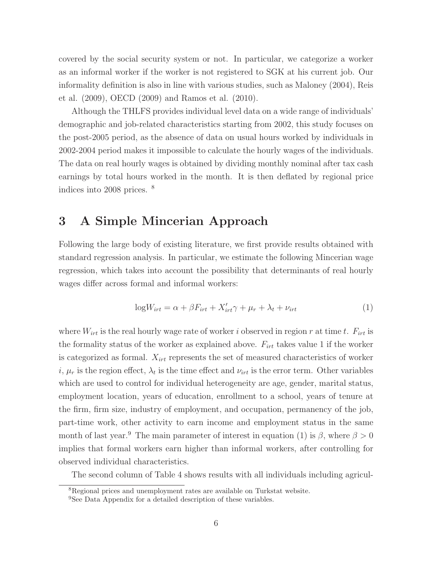covered by the social security system or not. In particular, we categorize a worker as an informal worker if the worker is not registered to SGK at his current job. Our informality definition is also in line with various studies, such as Maloney (2004), Reis et al. (2009), OECD (2009) and Ramos et al. (2010).

Although the THLFS provides individual level data on a wide range of individuals' demographic and job-related characteristics starting from 2002, this study focuses on the post-2005 period, as the absence of data on usual hours worked by individuals in 2002-2004 period makes it impossible to calculate the hourly wages of the individuals. The data on real hourly wages is obtained by dividing monthly nominal after tax cash earnings by total hours worked in the month. It is then deflated by regional price indices into 2008 prices. <sup>8</sup>

## 3 A Simple Mincerian Approach

Following the large body of existing literature, we first provide results obtained with standard regression analysis. In particular, we estimate the following Mincerian wage regression, which takes into account the possibility that determinants of real hourly wages differ across formal and informal workers:

$$
logW_{irt} = \alpha + \beta F_{irt} + X'_{irt}\gamma + \mu_r + \lambda_t + \nu_{irt}
$$
\n(1)

where  $W_{irt}$  is the real hourly wage rate of worker i observed in region r at time t.  $F_{irt}$  is the formality status of the worker as explained above.  $F_{irt}$  takes value 1 if the worker is categorized as formal.  $X_{irt}$  represents the set of measured characteristics of worker *i*,  $\mu_r$  is the region effect,  $\lambda_t$  is the time effect and  $\nu_{irt}$  is the error term. Other variables which are used to control for individual heterogeneity are age, gender, marital status, employment location, years of education, enrollment to a school, years of tenure at the firm, firm size, industry of employment, and occupation, permanency of the job, part-time work, other activity to earn income and employment status in the same month of last year.<sup>9</sup> The main parameter of interest in equation (1) is  $\beta$ , where  $\beta > 0$ implies that formal workers earn higher than informal workers, after controlling for observed individual characteristics.

The second column of Table 4 shows results with all individuals including agricul-

<sup>8</sup>Regional prices and unemployment rates are available on Turkstat website.

<sup>&</sup>lt;sup>9</sup>See Data Appendix for a detailed description of these variables.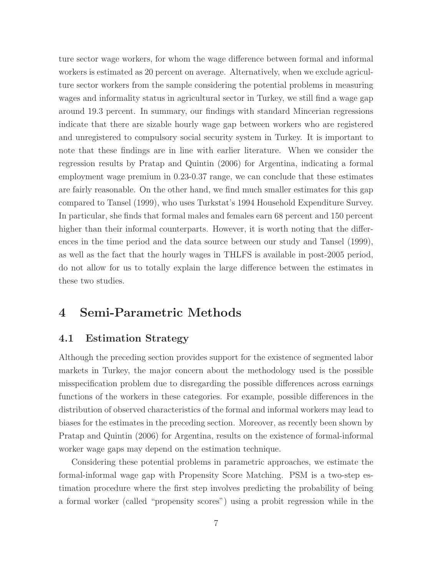ture sector wage workers, for whom the wage difference between formal and informal workers is estimated as 20 percent on average. Alternatively, when we exclude agriculture sector workers from the sample considering the potential problems in measuring wages and informality status in agricultural sector in Turkey, we still find a wage gap around 19.3 percent. In summary, our findings with standard Mincerian regressions indicate that there are sizable hourly wage gap between workers who are registered and unregistered to compulsory social security system in Turkey. It is important to note that these findings are in line with earlier literature. When we consider the regression results by Pratap and Quintin (2006) for Argentina, indicating a formal employment wage premium in 0.23-0.37 range, we can conclude that these estimates are fairly reasonable. On the other hand, we find much smaller estimates for this gap compared to Tansel (1999), who uses Turkstat's 1994 Household Expenditure Survey. In particular, she finds that formal males and females earn 68 percent and 150 percent higher than their informal counterparts. However, it is worth noting that the differences in the time period and the data source between our study and Tansel (1999), as well as the fact that the hourly wages in THLFS is available in post-2005 period, do not allow for us to totally explain the large difference between the estimates in these two studies.

# 4 Semi-Parametric Methods

### 4.1 Estimation Strategy

Although the preceding section provides support for the existence of segmented labor markets in Turkey, the major concern about the methodology used is the possible misspecification problem due to disregarding the possible differences across earnings functions of the workers in these categories. For example, possible differences in the distribution of observed characteristics of the formal and informal workers may lead to biases for the estimates in the preceding section. Moreover, as recently been shown by Pratap and Quintin (2006) for Argentina, results on the existence of formal-informal worker wage gaps may depend on the estimation technique.

Considering these potential problems in parametric approaches, we estimate the formal-informal wage gap with Propensity Score Matching. PSM is a two-step estimation procedure where the first step involves predicting the probability of being a formal worker (called "propensity scores") using a probit regression while in the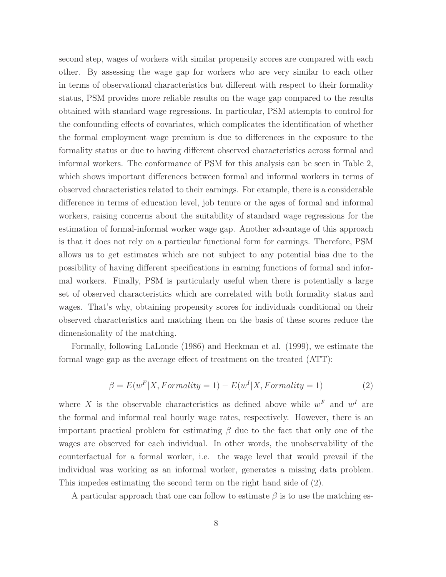second step, wages of workers with similar propensity scores are compared with each other. By assessing the wage gap for workers who are very similar to each other in terms of observational characteristics but different with respect to their formality status, PSM provides more reliable results on the wage gap compared to the results obtained with standard wage regressions. In particular, PSM attempts to control for the confounding effects of covariates, which complicates the identification of whether the formal employment wage premium is due to differences in the exposure to the formality status or due to having different observed characteristics across formal and informal workers. The conformance of PSM for this analysis can be seen in Table 2, which shows important differences between formal and informal workers in terms of observed characteristics related to their earnings. For example, there is a considerable difference in terms of education level, job tenure or the ages of formal and informal workers, raising concerns about the suitability of standard wage regressions for the estimation of formal-informal worker wage gap. Another advantage of this approach is that it does not rely on a particular functional form for earnings. Therefore, PSM allows us to get estimates which are not subject to any potential bias due to the possibility of having different specifications in earning functions of formal and informal workers. Finally, PSM is particularly useful when there is potentially a large set of observed characteristics which are correlated with both formality status and wages. That's why, obtaining propensity scores for individuals conditional on their observed characteristics and matching them on the basis of these scores reduce the dimensionality of the matching.

Formally, following LaLonde (1986) and Heckman et al. (1999), we estimate the formal wage gap as the average effect of treatment on the treated (ATT):

$$
\beta = E(w^F | X, Formality = 1) - E(w^I | X, Formality = 1)
$$
\n<sup>(2)</sup>

where X is the observable characteristics as defined above while  $w^F$  and  $w^I$  are the formal and informal real hourly wage rates, respectively. However, there is an important practical problem for estimating  $\beta$  due to the fact that only one of the wages are observed for each individual. In other words, the unobservability of the counterfactual for a formal worker, i.e. the wage level that would prevail if the individual was working as an informal worker, generates a missing data problem. This impedes estimating the second term on the right hand side of (2).

A particular approach that one can follow to estimate  $\beta$  is to use the matching es-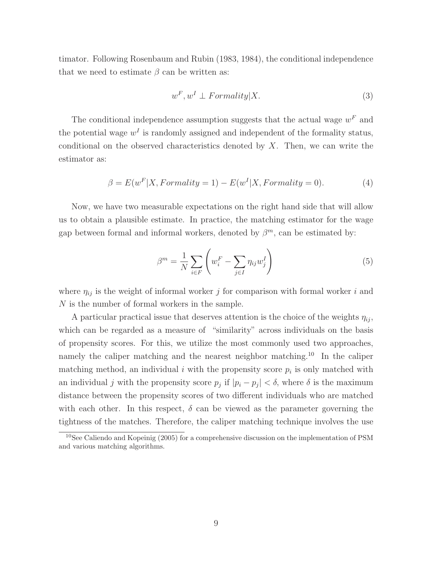timator. Following Rosenbaum and Rubin (1983, 1984), the conditional independence that we need to estimate  $\beta$  can be written as:

$$
w^F, w^I \perp Formality | X. \tag{3}
$$

The conditional independence assumption suggests that the actual wage  $w<sup>F</sup>$  and the potential wage  $w<sup>I</sup>$  is randomly assigned and independent of the formality status, conditional on the observed characteristics denoted by  $X$ . Then, we can write the estimator as:

$$
\beta = E(w^F|X, Formality = 1) - E(w^I|X, Formality = 0). \tag{4}
$$

Now, we have two measurable expectations on the right hand side that will allow us to obtain a plausible estimate. In practice, the matching estimator for the wage gap between formal and informal workers, denoted by  $\beta^{m}$ , can be estimated by:

$$
\beta^m = \frac{1}{N} \sum_{i \in F} \left( w_i^F - \sum_{j \in I} \eta_{ij} w_j^I \right) \tag{5}
$$

where  $\eta_{ij}$  is the weight of informal worker j for comparison with formal worker i and N is the number of formal workers in the sample.

A particular practical issue that deserves attention is the choice of the weights  $\eta_{ij}$ , which can be regarded as a measure of "similarity" across individuals on the basis of propensity scores. For this, we utilize the most commonly used two approaches, namely the caliper matching and the nearest neighbor matching.<sup>10</sup> In the caliper matching method, an individual i with the propensity score  $p_i$  is only matched with an individual j with the propensity score  $p_j$  if  $|p_i - p_j| < \delta$ , where  $\delta$  is the maximum distance between the propensity scores of two different individuals who are matched with each other. In this respect,  $\delta$  can be viewed as the parameter governing the tightness of the matches. Therefore, the caliper matching technique involves the use

 $10$ See Caliendo and Kopeinig (2005) for a comprehensive discussion on the implementation of PSM and various matching algorithms.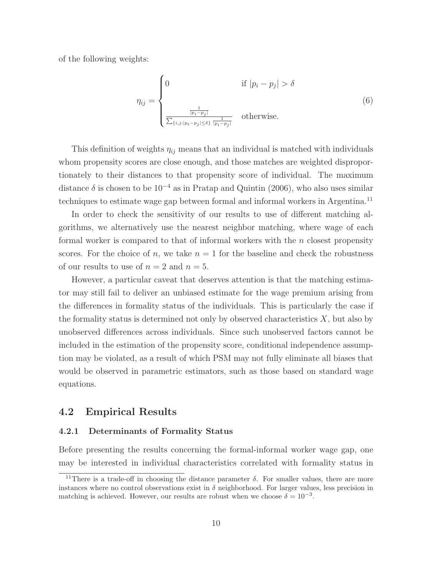of the following weights:

$$
\eta_{ij} = \begin{cases}\n0 & \text{if } |p_i - p_j| > \delta \\
\frac{\frac{1}{|p_i - p_j|}}{\sum_{\{i,j: |p_i - p_j| \le \delta\}} \frac{1}{|p_i - p_j|}} & \text{otherwise.} \n\end{cases}
$$
\n(6)

This definition of weights  $\eta_{ij}$  means that an individual is matched with individuals whom propensity scores are close enough, and those matches are weighted disproportionately to their distances to that propensity score of individual. The maximum distance  $\delta$  is chosen to be 10<sup>-4</sup> as in Pratap and Quintin (2006), who also uses similar techniques to estimate wage gap between formal and informal workers in Argentina.<sup>11</sup>

In order to check the sensitivity of our results to use of different matching algorithms, we alternatively use the nearest neighbor matching, where wage of each formal worker is compared to that of informal workers with the  $n$  closest propensity scores. For the choice of n, we take  $n = 1$  for the baseline and check the robustness of our results to use of  $n = 2$  and  $n = 5$ .

However, a particular caveat that deserves attention is that the matching estimator may still fail to deliver an unbiased estimate for the wage premium arising from the differences in formality status of the individuals. This is particularly the case if the formality status is determined not only by observed characteristics  $X$ , but also by unobserved differences across individuals. Since such unobserved factors cannot be included in the estimation of the propensity score, conditional independence assumption may be violated, as a result of which PSM may not fully eliminate all biases that would be observed in parametric estimators, such as those based on standard wage equations.

### 4.2 Empirical Results

#### 4.2.1 Determinants of Formality Status

Before presenting the results concerning the formal-informal worker wage gap, one may be interested in individual characteristics correlated with formality status in

<sup>&</sup>lt;sup>11</sup>There is a trade-off in choosing the distance parameter  $\delta$ . For smaller values, there are more instances where no control observations exist in  $\delta$  neighborhood. For larger values, less precision in matching is achieved. However, our results are robust when we choose  $\delta = 10^{-3}$ .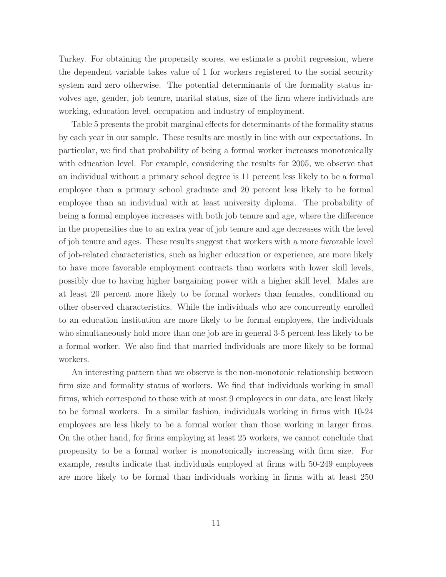Turkey. For obtaining the propensity scores, we estimate a probit regression, where the dependent variable takes value of 1 for workers registered to the social security system and zero otherwise. The potential determinants of the formality status involves age, gender, job tenure, marital status, size of the firm where individuals are working, education level, occupation and industry of employment.

Table 5 presents the probit marginal effects for determinants of the formality status by each year in our sample. These results are mostly in line with our expectations. In particular, we find that probability of being a formal worker increases monotonically with education level. For example, considering the results for 2005, we observe that an individual without a primary school degree is 11 percent less likely to be a formal employee than a primary school graduate and 20 percent less likely to be formal employee than an individual with at least university diploma. The probability of being a formal employee increases with both job tenure and age, where the difference in the propensities due to an extra year of job tenure and age decreases with the level of job tenure and ages. These results suggest that workers with a more favorable level of job-related characteristics, such as higher education or experience, are more likely to have more favorable employment contracts than workers with lower skill levels, possibly due to having higher bargaining power with a higher skill level. Males are at least 20 percent more likely to be formal workers than females, conditional on other observed characteristics. While the individuals who are concurrently enrolled to an education institution are more likely to be formal employees, the individuals who simultaneously hold more than one job are in general 3-5 percent less likely to be a formal worker. We also find that married individuals are more likely to be formal workers.

An interesting pattern that we observe is the non-monotonic relationship between firm size and formality status of workers. We find that individuals working in small firms, which correspond to those with at most 9 employees in our data, are least likely to be formal workers. In a similar fashion, individuals working in firms with 10-24 employees are less likely to be a formal worker than those working in larger firms. On the other hand, for firms employing at least 25 workers, we cannot conclude that propensity to be a formal worker is monotonically increasing with firm size. For example, results indicate that individuals employed at firms with 50-249 employees are more likely to be formal than individuals working in firms with at least 250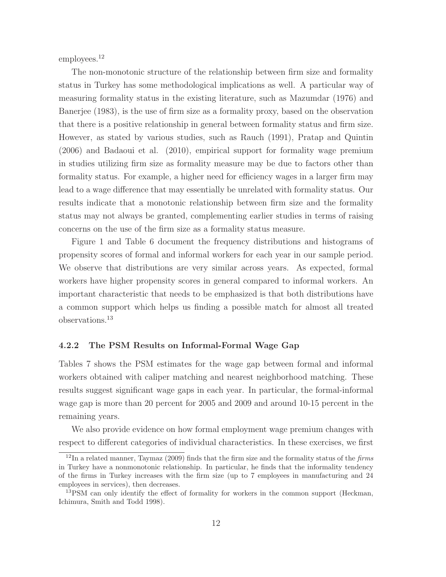employees.<sup>12</sup>

The non-monotonic structure of the relationship between firm size and formality status in Turkey has some methodological implications as well. A particular way of measuring formality status in the existing literature, such as Mazumdar (1976) and Banerjee (1983), is the use of firm size as a formality proxy, based on the observation that there is a positive relationship in general between formality status and firm size. However, as stated by various studies, such as Rauch (1991), Pratap and Quintin (2006) and Badaoui et al. (2010), empirical support for formality wage premium in studies utilizing firm size as formality measure may be due to factors other than formality status. For example, a higher need for efficiency wages in a larger firm may lead to a wage difference that may essentially be unrelated with formality status. Our results indicate that a monotonic relationship between firm size and the formality status may not always be granted, complementing earlier studies in terms of raising concerns on the use of the firm size as a formality status measure.

Figure 1 and Table 6 document the frequency distributions and histograms of propensity scores of formal and informal workers for each year in our sample period. We observe that distributions are very similar across years. As expected, formal workers have higher propensity scores in general compared to informal workers. An important characteristic that needs to be emphasized is that both distributions have a common support which helps us finding a possible match for almost all treated observations.<sup>13</sup>

#### 4.2.2 The PSM Results on Informal-Formal Wage Gap

Tables 7 shows the PSM estimates for the wage gap between formal and informal workers obtained with caliper matching and nearest neighborhood matching. These results suggest significant wage gaps in each year. In particular, the formal-informal wage gap is more than 20 percent for 2005 and 2009 and around 10-15 percent in the remaining years.

We also provide evidence on how formal employment wage premium changes with respect to different categories of individual characteristics. In these exercises, we first

 $12$ In a related manner, Taymaz (2009) finds that the firm size and the formality status of the *firms* in Turkey have a nonmonotonic relationship. In particular, he finds that the informality tendency of the firms in Turkey increases with the firm size (up to 7 employees in manufacturing and 24 employees in services), then decreases.

<sup>&</sup>lt;sup>13</sup>PSM can only identify the effect of formality for workers in the common support (Heckman, Ichimura, Smith and Todd 1998).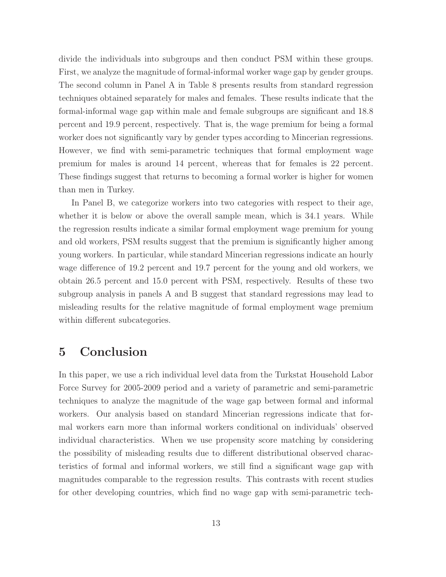divide the individuals into subgroups and then conduct PSM within these groups. First, we analyze the magnitude of formal-informal worker wage gap by gender groups. The second column in Panel A in Table 8 presents results from standard regression techniques obtained separately for males and females. These results indicate that the formal-informal wage gap within male and female subgroups are significant and 18.8 percent and 19.9 percent, respectively. That is, the wage premium for being a formal worker does not significantly vary by gender types according to Mincerian regressions. However, we find with semi-parametric techniques that formal employment wage premium for males is around 14 percent, whereas that for females is 22 percent. These findings suggest that returns to becoming a formal worker is higher for women than men in Turkey.

In Panel B, we categorize workers into two categories with respect to their age, whether it is below or above the overall sample mean, which is 34.1 years. While the regression results indicate a similar formal employment wage premium for young and old workers, PSM results suggest that the premium is significantly higher among young workers. In particular, while standard Mincerian regressions indicate an hourly wage difference of 19.2 percent and 19.7 percent for the young and old workers, we obtain 26.5 percent and 15.0 percent with PSM, respectively. Results of these two subgroup analysis in panels A and B suggest that standard regressions may lead to misleading results for the relative magnitude of formal employment wage premium within different subcategories.

## 5 Conclusion

In this paper, we use a rich individual level data from the Turkstat Household Labor Force Survey for 2005-2009 period and a variety of parametric and semi-parametric techniques to analyze the magnitude of the wage gap between formal and informal workers. Our analysis based on standard Mincerian regressions indicate that formal workers earn more than informal workers conditional on individuals' observed individual characteristics. When we use propensity score matching by considering the possibility of misleading results due to different distributional observed characteristics of formal and informal workers, we still find a significant wage gap with magnitudes comparable to the regression results. This contrasts with recent studies for other developing countries, which find no wage gap with semi-parametric tech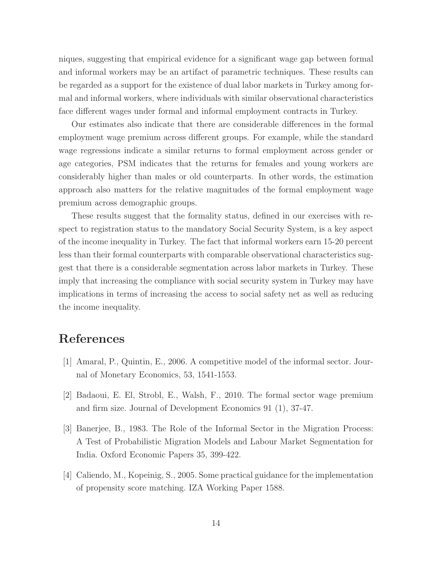niques, suggesting that empirical evidence for a significant wage gap between formal and informal workers may be an artifact of parametric techniques. These results can be regarded as a support for the existence of dual labor markets in Turkey among formal and informal workers, where individuals with similar observational characteristics face different wages under formal and informal employment contracts in Turkey.

Our estimates also indicate that there are considerable differences in the formal employment wage premium across different groups. For example, while the standard wage regressions indicate a similar returns to formal employment across gender or age categories, PSM indicates that the returns for females and young workers are considerably higher than males or old counterparts. In other words, the estimation approach also matters for the relative magnitudes of the formal employment wage premium across demographic groups.

These results suggest that the formality status, defined in our exercises with respect to registration status to the mandatory Social Security System, is a key aspect of the income inequality in Turkey. The fact that informal workers earn 15-20 percent less than their formal counterparts with comparable observational characteristics suggest that there is a considerable segmentation across labor markets in Turkey. These imply that increasing the compliance with social security system in Turkey may have implications in terms of increasing the access to social safety net as well as reducing the income inequality.

# References

- [1] Amaral, P., Quintin, E., 2006. A competitive model of the informal sector. Journal of Monetary Economics, 53, 1541-1553.
- [2] Badaoui, E. El, Strobl, E., Walsh, F., 2010. The formal sector wage premium and firm size. Journal of Development Economics 91 (1), 37-47.
- [3] Banerjee, B., 1983. The Role of the Informal Sector in the Migration Process: A Test of Probabilistic Migration Models and Labour Market Segmentation for India. Oxford Economic Papers 35, 399-422.
- [4] Caliendo, M., Kopeinig, S., 2005. Some practical guidance for the implementation of propensity score matching. IZA Working Paper 1588.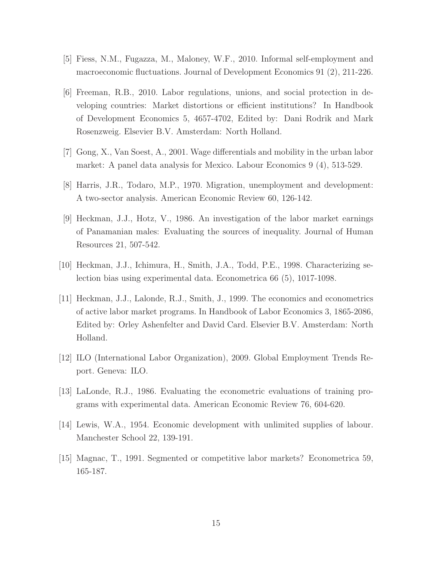- [5] Fiess, N.M., Fugazza, M., Maloney, W.F., 2010. Informal self-employment and macroeconomic fluctuations. Journal of Development Economics 91 (2), 211-226.
- [6] Freeman, R.B., 2010. Labor regulations, unions, and social protection in developing countries: Market distortions or efficient institutions? In Handbook of Development Economics 5, 4657-4702, Edited by: Dani Rodrik and Mark Rosenzweig. Elsevier B.V. Amsterdam: North Holland.
- [7] Gong, X., Van Soest, A., 2001. Wage differentials and mobility in the urban labor market: A panel data analysis for Mexico. Labour Economics 9 (4), 513-529.
- [8] Harris, J.R., Todaro, M.P., 1970. Migration, unemployment and development: A two-sector analysis. American Economic Review 60, 126-142.
- [9] Heckman, J.J., Hotz, V., 1986. An investigation of the labor market earnings of Panamanian males: Evaluating the sources of inequality. Journal of Human Resources 21, 507-542.
- [10] Heckman, J.J., Ichimura, H., Smith, J.A., Todd, P.E., 1998. Characterizing selection bias using experimental data. Econometrica 66 (5), 1017-1098.
- [11] Heckman, J.J., Lalonde, R.J., Smith, J., 1999. The economics and econometrics of active labor market programs. In Handbook of Labor Economics 3, 1865-2086, Edited by: Orley Ashenfelter and David Card. Elsevier B.V. Amsterdam: North Holland.
- [12] ILO (International Labor Organization), 2009. Global Employment Trends Report. Geneva: ILO.
- [13] LaLonde, R.J., 1986. Evaluating the econometric evaluations of training programs with experimental data. American Economic Review 76, 604-620.
- [14] Lewis, W.A., 1954. Economic development with unlimited supplies of labour. Manchester School 22, 139-191.
- [15] Magnac, T., 1991. Segmented or competitive labor markets? Econometrica 59, 165-187.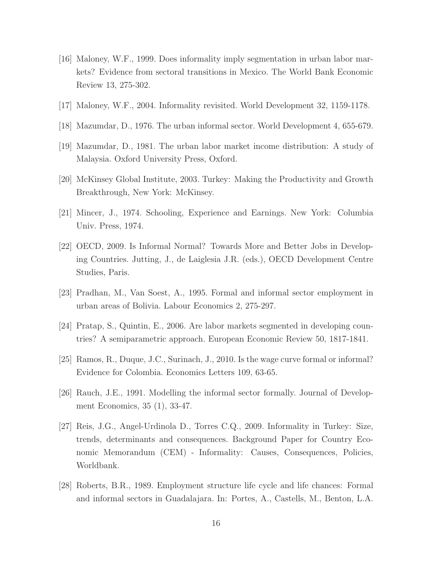- [16] Maloney, W.F., 1999. Does informality imply segmentation in urban labor markets? Evidence from sectoral transitions in Mexico. The World Bank Economic Review 13, 275-302.
- [17] Maloney, W.F., 2004. Informality revisited. World Development 32, 1159-1178.
- [18] Mazumdar, D., 1976. The urban informal sector. World Development 4, 655-679.
- [19] Mazumdar, D., 1981. The urban labor market income distribution: A study of Malaysia. Oxford University Press, Oxford.
- [20] McKinsey Global Institute, 2003. Turkey: Making the Productivity and Growth Breakthrough, New York: McKinsey.
- [21] Mincer, J., 1974. Schooling, Experience and Earnings. New York: Columbia Univ. Press, 1974.
- [22] OECD, 2009. Is Informal Normal? Towards More and Better Jobs in Developing Countries. Jutting, J., de Laiglesia J.R. (eds.), OECD Development Centre Studies, Paris.
- [23] Pradhan, M., Van Soest, A., 1995. Formal and informal sector employment in urban areas of Bolivia. Labour Economics 2, 275-297.
- [24] Pratap, S., Quintin, E., 2006. Are labor markets segmented in developing countries? A semiparametric approach. European Economic Review 50, 1817-1841.
- [25] Ramos, R., Duque, J.C., Surinach, J., 2010. Is the wage curve formal or informal? Evidence for Colombia. Economics Letters 109, 63-65.
- [26] Rauch, J.E., 1991. Modelling the informal sector formally. Journal of Development Economics, 35 (1), 33-47.
- [27] Reis, J.G., Angel-Urdinola D., Torres C.Q., 2009. Informality in Turkey: Size, trends, determinants and consequences. Background Paper for Country Economic Memorandum (CEM) - Informality: Causes, Consequences, Policies, Worldbank.
- [28] Roberts, B.R., 1989. Employment structure life cycle and life chances: Formal and informal sectors in Guadalajara. In: Portes, A., Castells, M., Benton, L.A.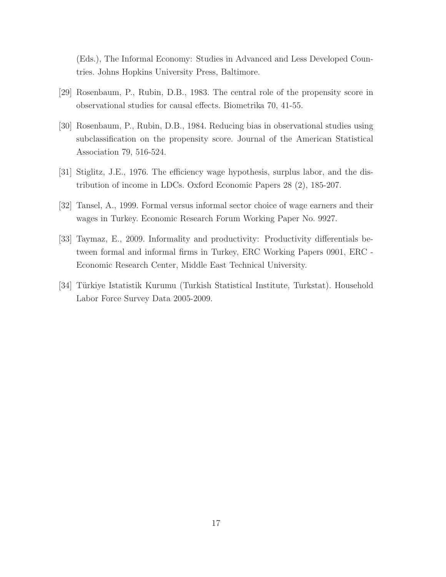(Eds.), The Informal Economy: Studies in Advanced and Less Developed Countries. Johns Hopkins University Press, Baltimore.

- [29] Rosenbaum, P., Rubin, D.B., 1983. The central role of the propensity score in observational studies for causal effects. Biometrika 70, 41-55.
- [30] Rosenbaum, P., Rubin, D.B., 1984. Reducing bias in observational studies using subclassification on the propensity score. Journal of the American Statistical Association 79, 516-524.
- [31] Stiglitz, J.E., 1976. The efficiency wage hypothesis, surplus labor, and the distribution of income in LDCs. Oxford Economic Papers 28 (2), 185-207.
- [32] Tansel, A., 1999. Formal versus informal sector choice of wage earners and their wages in Turkey. Economic Research Forum Working Paper No. 9927.
- [33] Taymaz, E., 2009. Informality and productivity: Productivity differentials between formal and informal firms in Turkey, ERC Working Papers 0901, ERC - Economic Research Center, Middle East Technical University.
- [34] Türkiye Istatistik Kurumu (Turkish Statistical Institute, Turkstat). Household Labor Force Survey Data 2005-2009.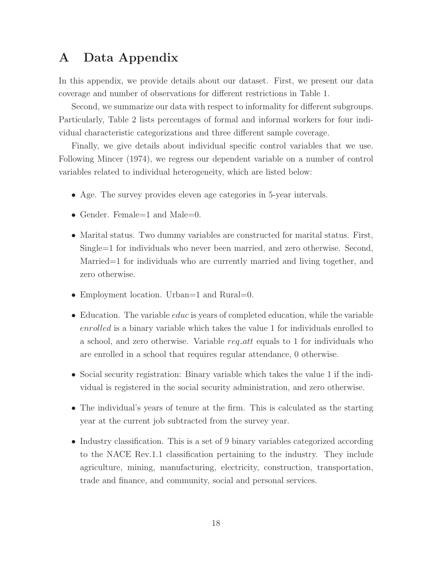## A Data Appendix

In this appendix, we provide details about our dataset. First, we present our data coverage and number of observations for different restrictions in Table 1.

Second, we summarize our data with respect to informality for different subgroups. Particularly, Table 2 lists percentages of formal and informal workers for four individual characteristic categorizations and three different sample coverage.

Finally, we give details about individual specific control variables that we use. Following Mincer (1974), we regress our dependent variable on a number of control variables related to individual heterogeneity, which are listed below:

- Age. The survey provides eleven age categories in 5-year intervals.
- Gender. Female=1 and Male=0.
- Marital status. Two dummy variables are constructed for marital status. First, Single=1 for individuals who never been married, and zero otherwise. Second, Married=1 for individuals who are currently married and living together, and zero otherwise.
- Employment location. Urban=1 and Rural=0.
- Education. The variable *educ* is years of completed education, while the variable enrolled is a binary variable which takes the value 1 for individuals enrolled to a school, and zero otherwise. Variable req att equals to 1 for individuals who are enrolled in a school that requires regular attendance, 0 otherwise.
- Social security registration: Binary variable which takes the value 1 if the individual is registered in the social security administration, and zero otherwise.
- The individual's years of tenure at the firm. This is calculated as the starting year at the current job subtracted from the survey year.
- Industry classification. This is a set of 9 binary variables categorized according to the NACE Rev.1.1 classification pertaining to the industry. They include agriculture, mining, manufacturing, electricity, construction, transportation, trade and finance, and community, social and personal services.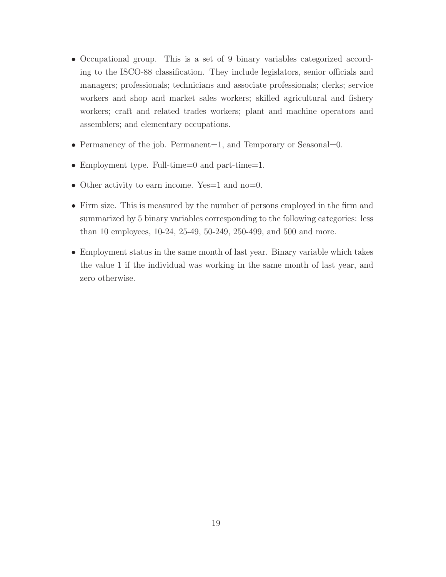- Occupational group. This is a set of 9 binary variables categorized according to the ISCO-88 classification. They include legislators, senior officials and managers; professionals; technicians and associate professionals; clerks; service workers and shop and market sales workers; skilled agricultural and fishery workers; craft and related trades workers; plant and machine operators and assemblers; and elementary occupations.
- Permanency of the job. Permanent=1, and Temporary or Seasonal=0.
- Employment type. Full-time=0 and part-time=1.
- Other activity to earn income. Yes=1 and no=0.
- Firm size. This is measured by the number of persons employed in the firm and summarized by 5 binary variables corresponding to the following categories: less than 10 employees, 10-24, 25-49, 50-249, 250-499, and 500 and more.
- Employment status in the same month of last year. Binary variable which takes the value 1 if the individual was working in the same month of last year, and zero otherwise.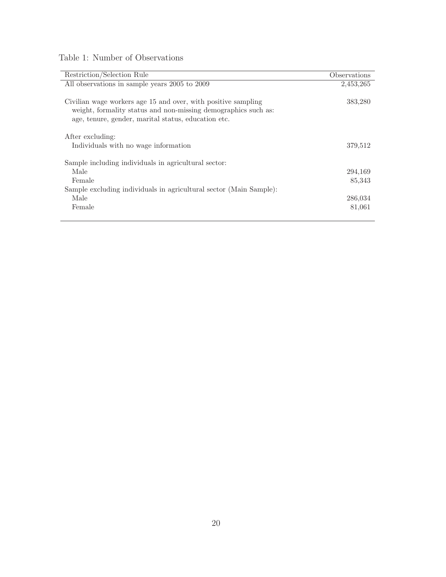| Table 1: Number of Observations |  |
|---------------------------------|--|
|---------------------------------|--|

| Restriction/Selection Rule                                         | Observations |
|--------------------------------------------------------------------|--------------|
| All observations in sample years 2005 to 2009                      | 2,453,265    |
|                                                                    |              |
| Civilian wage workers age 15 and over, with positive sampling      | 383,280      |
| weight, formality status and non-missing demographics such as:     |              |
| age, tenure, gender, marital status, education etc.                |              |
|                                                                    |              |
| After excluding:                                                   |              |
|                                                                    | 379,512      |
| Individuals with no wage information                               |              |
|                                                                    |              |
| Sample including individuals in agricultural sector:               |              |
| Male                                                               | 294,169      |
| Female                                                             | 85,343       |
| Sample excluding individuals in agricultural sector (Main Sample): |              |
| Male                                                               | 286,034      |
| Female                                                             | 81,061       |
|                                                                    |              |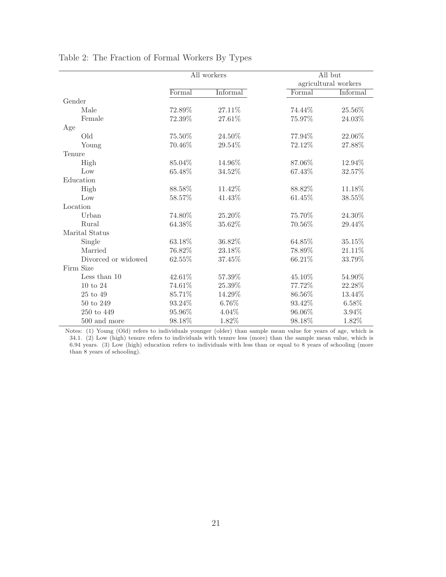|                     | All workers |          |           | All but<br>agricultural workers |
|---------------------|-------------|----------|-----------|---------------------------------|
|                     | Formal      | Informal | Formal    | Informal                        |
| Gender              |             |          |           |                                 |
| Male                | 72.89%      | 27.11%   | 74.44%    | 25.56%                          |
| Female              | 72.39%      | 27.61%   | 75.97%    | 24.03%                          |
| Age                 |             |          |           |                                 |
| Old                 | 75.50%      | 24.50%   | 77.94%    | 22.06%                          |
| Young               | 70.46%      | 29.54%   | 72.12%    | 27.88%                          |
| Tenure              |             |          |           |                                 |
| High                | 85.04%      | 14.96%   | 87.06%    | 12.94%                          |
| Low                 | 65.48%      | 34.52%   | 67.43%    | 32.57%                          |
| Education           |             |          |           |                                 |
| High                | 88.58%      | 11.42%   | 88.82%    | 11.18%                          |
| Low                 | 58.57%      | 41.43%   | 61.45%    | 38.55%                          |
| Location            |             |          |           |                                 |
| Urban               | 74.80%      | 25.20%   | 75.70%    | 24.30%                          |
| Rural               | $64.38\%$   | 35.62%   | $70.56\%$ | 29.44%                          |
| Marital Status      |             |          |           |                                 |
| Single              | 63.18%      | 36.82%   | 64.85%    | 35.15%                          |
| Married             | 76.82%      | 23.18%   | 78.89%    | 21.11%                          |
| Divorced or widowed | 62.55%      | 37.45%   | 66.21%    | 33.79%                          |
| Firm Size           |             |          |           |                                 |
| Less than 10        | 42.61%      | 57.39%   | 45.10%    | 54.90%                          |
| $10$ to $24\,$      | 74.61%      | 25.39%   | 77.72%    | 22.28%                          |
| $25$ to $49\,$      | 85.71%      | 14.29%   | 86.56%    | 13.44%                          |
| 50 to 249           | 93.24%      | 6.76%    | 93.42%    | 6.58%                           |
| 250 to 449          | 95.96%      | 4.04%    | 96.06%    | 3.94%                           |
| 500 and more        | 98.18%      | 1.82%    | $98.18\%$ | 1.82%                           |

Table 2: The Fraction of Formal Workers By Types

Notes: (1) Young (Old) refers to individuals younger (older) than sample mean value for years of age, which is 34.1. (2) Low (high) tenure refers to individuals with tenure less (more) than the sample mean value, which is 6.94 years. (3) Low (high) education refers to individuals with less than or equal to 8 years of schooling (more than 8 years of schooling).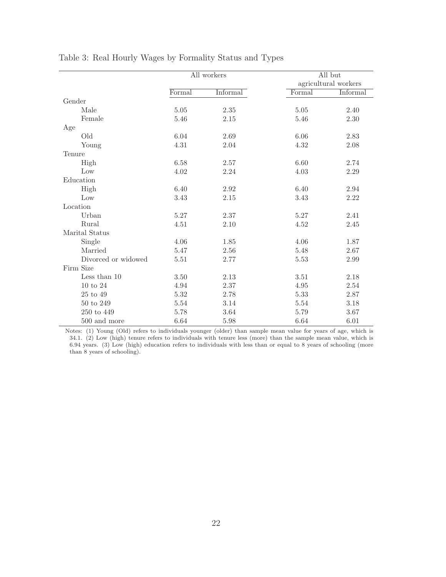|                            | All workers |          |          | All but<br>agricultural workers |
|----------------------------|-------------|----------|----------|---------------------------------|
|                            | Formal      | Informal | Formal   | Informal                        |
| Gender                     |             |          |          |                                 |
| Male                       | 5.05        | $2.35\,$ | $5.05\,$ | 2.40                            |
| Female                     | 5.46        | 2.15     | 5.46     | 2.30                            |
| Age                        |             |          |          |                                 |
| Old                        | 6.04        | 2.69     | 6.06     | 2.83                            |
| Young                      | 4.31        | 2.04     | 4.32     | 2.08                            |
| Tenure                     |             |          |          |                                 |
| High                       | 6.58        | 2.57     | 6.60     | 2.74                            |
| Low                        | 4.02        | 2.24     | 4.03     | 2.29                            |
| $\operatorname{Education}$ |             |          |          |                                 |
| High                       | 6.40        | 2.92     | 6.40     | 2.94                            |
| Low                        | $3.43\,$    | 2.15     | $3.43\,$ | $2.22\,$                        |
| Location                   |             |          |          |                                 |
| Urban                      | 5.27        | 2.37     | 5.27     | 2.41                            |
| Rural                      | 4.51        | 2.10     | 4.52     | 2.45                            |
| Marital Status             |             |          |          |                                 |
| Single                     | 4.06        | 1.85     | 4.06     | 1.87                            |
| Married                    | 5.47        | 2.56     | 5.48     | 2.67                            |
| Divorced or widowed        | $5.51\,$    | 2.77     | 5.53     | 2.99                            |
| Firm Size                  |             |          |          |                                 |
| Less than $10$             | 3.50        | 2.13     | 3.51     | 2.18                            |
| $10 \text{ to } 24$        | 4.94        | 2.37     | 4.95     | 2.54                            |
| 25 to 49                   | $5.32\,$    | 2.78     | 5.33     | 2.87                            |
| $50$ to $249\,$            | 5.54        | 3.14     | 5.54     | 3.18                            |
| 250 to 449                 | 5.78        | 3.64     | 5.79     | 3.67                            |
| 500 and more               | 6.64        | 5.98     | 6.64     | 6.01                            |

Table 3: Real Hourly Wages by Formality Status and Types

Notes: (1) Young (Old) refers to individuals younger (older) than sample mean value for years of age, which is 34.1. (2) Low (high) tenure refers to individuals with tenure less (more) than the sample mean value, which is 6.94 years. (3) Low (high) education refers to individuals with less than or equal to 8 years of schooling (more than 8 years of schooling).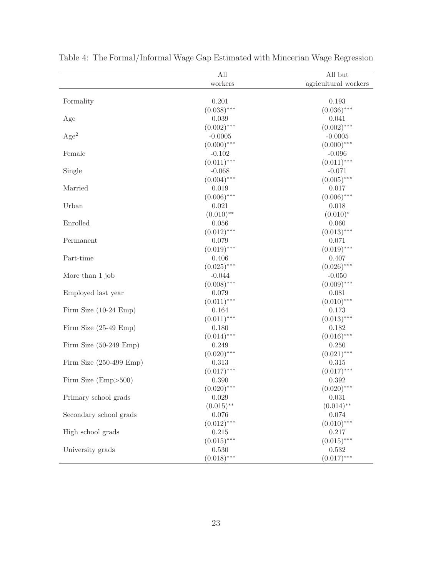|                                  | All           | All but                |
|----------------------------------|---------------|------------------------|
|                                  | workers       | agricultural workers   |
| Formality                        | 0.201         | 0.193                  |
|                                  | $(0.038)$ *** | $(0.036)$ ***          |
| Age                              | 0.039         | 0.041                  |
|                                  | $(0.002)$ *** | $(0.002)$ ***          |
| Age <sup>2</sup>                 | $-0.0005$     | $-0.0005$              |
|                                  | $(0.000)$ *** | $(0.000)$ ***          |
| Female                           | $-0.102$      | $-0.096$               |
|                                  | $(0.011)$ *** | $(0.011)$ ***          |
| Single                           | $-0.068$      | $-0.071$               |
|                                  | $(0.004)$ *** | $(0.005)$ ***          |
| Married                          | 0.019         | 0.017                  |
|                                  | $(0.006)$ *** | $(0.006)$ ***          |
| Urban                            | 0.021         | 0.018                  |
|                                  | $(0.010)$ **  | $(0.010)^*$            |
| Enrolled                         | 0.056         | 0.060                  |
|                                  | $(0.012)$ *** | $(0.013)$ ***          |
| Permanent                        | 0.079         | 0.071                  |
|                                  | $(0.019)$ *** | $(0.019)$ ***          |
| Part-time                        | 0.406         | 0.407                  |
|                                  | $(0.025)$ *** | $(0.026)$ ***          |
| More than 1 job                  | $-0.044$      | $-0.050$               |
|                                  | $(0.008)$ *** | $(0.009)$ ***          |
|                                  | 0.079         |                        |
| Employed last year               |               | 0.081<br>$(0.010)$ *** |
|                                  | $(0.011)$ *** |                        |
| Firm Size $(10-24)$ Emp)         | 0.164         | 0.173                  |
|                                  | $(0.011)$ *** | $(0.013)$ ***          |
| Firm Size $(25-49 \text{ Emp})$  | 0.180         | 0.182                  |
|                                  | $(0.014)$ *** | $(0.016)$ ***          |
| Firm Size $(50-249 \text{ Emp})$ | 0.249         | 0.250                  |
|                                  | $(0.020)$ *** | $(0.021)$ ***          |
| Firm Size $(250-499)$ Emp)       | 0.313         | 0.315                  |
|                                  | $(0.017)$ *** | $(0.017)$ ***          |
| Firm Size $(Emp>500)$            | 0.390         | 0.392                  |
|                                  | $(0.020)$ *** | $(0.020)$ ***          |
| Primary school grads             | 0.029         | 0.031                  |
|                                  | $(0.015)$ **  | $(0.014)$ **           |
| Secondary school grads           | $0.076\,$     | 0.074                  |
|                                  | $(0.012)$ *** | $(0.010)$ ***          |
| High school grads                | 0.215         | 0.217                  |
|                                  | $(0.015)$ *** | $(0.015)$ ***          |
| University grads                 | 0.530         | 0.532                  |
|                                  | $(0.018)$ *** | $(0.017)$ ***          |

Table 4: The Formal/Informal Wage Gap Estimated with Mincerian Wage Regression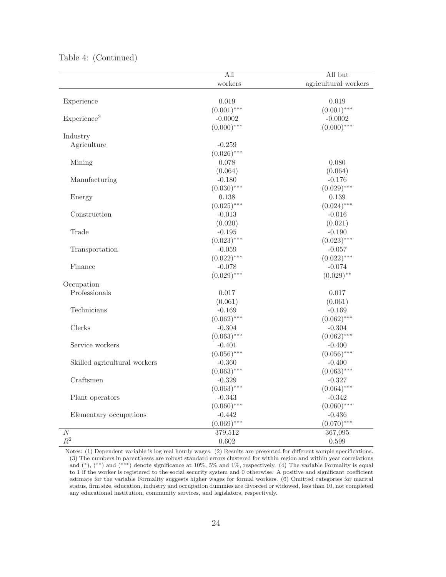|                              | $\overline{All}$ | All but              |
|------------------------------|------------------|----------------------|
|                              | workers          | agricultural workers |
|                              |                  |                      |
| Experience                   | 0.019            | 0.019                |
|                              | $(0.001)$ ***    | $(0.001)$ ***        |
| Experience <sup>2</sup>      | $-0.0002$        | $-0.0002$            |
|                              | $(0.000)$ ***    | $(0.000)$ ***        |
| Industry                     |                  |                      |
| Agriculture                  | $-0.259$         |                      |
|                              | $(0.026)$ ***    |                      |
| Mining                       | 0.078            | 0.080                |
|                              | (0.064)          | (0.064)              |
| Manufacturing                | $-0.180$         | $-0.176$             |
|                              | $(0.030)$ ***    | $(0.029)$ ***        |
| Energy                       | 0.138            | 0.139                |
|                              | $(0.025)$ ***    | $(0.024)$ ***        |
| Construction                 | $-0.013$         | $-0.016$             |
|                              | (0.020)          | (0.021)              |
| Trade                        | $-0.195$         | $-0.190$             |
|                              | $(0.023)$ ***    | $(0.023)$ ***        |
| Transportation               | $-0.059$         | $-0.057$             |
|                              | $(0.022)$ ***    | $(0.022)$ ***        |
| Finance                      | $-0.078$         | $-0.074$             |
|                              | $(0.029)$ ***    | $(0.029)$ **         |
| Occupation                   |                  |                      |
| Professionals                | 0.017            | 0.017                |
|                              | (0.061)          | (0.061)              |
| Technicians                  | $-0.169$         | $-0.169$             |
|                              | $(0.062)$ ***    | $(0.062)$ ***        |
| Clerks                       | $-0.304$         | $-0.304$             |
|                              | $(0.063)$ ***    | $(0.062)$ ***        |
| Service workers              | $-0.401$         | $-0.400$             |
|                              | $(0.056)$ ***    | $(0.056)$ ***        |
| Skilled agricultural workers | $-0.360$         | $-0.400$             |
|                              | $(0.063)$ ***    | $(0.063)$ ***        |
| Craftsmen                    | $-0.329$         | $-0.327$             |
|                              | $(0.063)$ ***    | $(0.064)$ ***        |
| Plant operators              | $-0.343$         | $-0.342$             |
|                              | $(0.060)$ ***    | $(0.060)$ ***        |
| Elementary occupations       | $-0.442$         | $-0.436$             |
|                              | $(0.069)$ ***    | $(0.070)$ ***        |
| $\cal N$                     | 379,512          | 367,095              |
| $\mathbb{R}^2$               | 0.602            | 0.599                |

#### Table 4: (Continued)

Notes: (1) Dependent variable is log real hourly wages. (2) Results are presented for different sample specifications. (3) The numbers in parentheses are robust standard errors clustered for within region and within year correlations and (∗), (∗∗) and (∗∗∗) denote significance at 10%, 5% and 1%, respectively. (4) The variable Formality is equal to 1 if the worker is registered to the social security system and 0 otherwise. A positive and significant coefficient estimate for the variable Formality suggests higher wages for formal workers. (6) Omitted categories for marital status, firm size, education, industry and occupation dummies are divorced or widowed, less than 10, not completed any educational institution, community services, and legislators, respectively.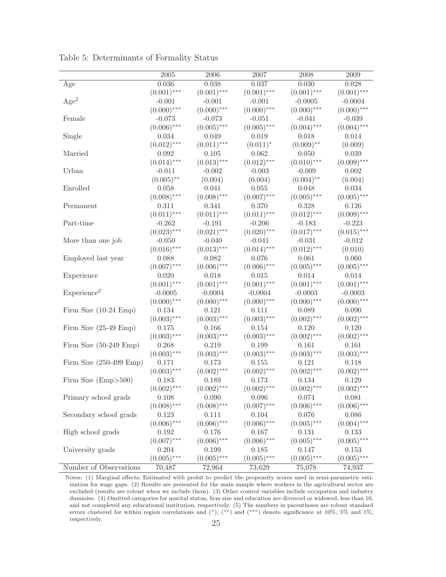|                                   | $\,2005\,$    | $\,2006$      | $2007\,$      | 2008          | $\,2009\,$    |
|-----------------------------------|---------------|---------------|---------------|---------------|---------------|
| Age                               | 0.036         | 0.038         | 0.037         | 0.030         | 0.028         |
|                                   | $(0.001)$ *** | $(0.001)$ *** | $(0.001)$ *** | $(0.001)$ *** | $(0.001)$ *** |
| Age <sup>2</sup>                  | $-0.001$      | $-0.001$      | $-0.001$      | $-0.0005$     | $-0.0004$     |
|                                   | $(0.000)$ *** | $(0.000)$ *** | $(0.000)$ *** | $(0.000)$ *** | $(0.000)$ *** |
| Female                            | $-0.073$      | $-0.073$      | $-0.051$      | $-0.041$      | $-0.039$      |
|                                   | $(0.006)$ *** | $(0.005)$ *** | $(0.005)$ *** | $(0.004)$ *** | $(0.004)$ *** |
| Single                            | 0.034         | 0.049         | 0.019         | 0.018         | 0.014         |
|                                   | $(0.012)$ *** | $(0.011)$ *** | $(0.011)^*$   | $(0.009)$ **  | (0.009)       |
| Married                           | 0.092         | 0.105         | 0.062         | 0.050         | 0.039         |
|                                   | $(0.014)$ *** | $(0.013)$ *** | $(0.012)$ *** | $(0.010)$ *** | $(0.009)$ *** |
| Urban                             | $-0.011$      | $-0.002$      | $-0.003$      | $-0.009$      | 0.002         |
|                                   | $(0.005)$ **  | (0.004)       | (0.004)       | $(0.004)$ **  | (0.004)       |
| Enrolled                          | 0.058         | 0.041         | 0.055         | 0.048         | 0.034         |
|                                   | $(0.008)$ *** | $(0.008)$ *** | $(0.007)$ *** | $(0.005)$ *** | $(0.005)$ *** |
| Permanent                         | 0.311         | 0.341         | 0.370         | 0.328         | 0.126         |
|                                   | $(0.011)$ *** | $(0.011)$ *** | $(0.011)$ *** | $(0.012)$ *** | $(0.009)$ *** |
| Part-time                         | $-0.262$      | $-0.191$      | $-0.206$      | $-0.183$      | $-0.223$      |
|                                   | $(0.023)$ *** | $(0.021)$ *** | $(0.020)$ *** | $(0.017)$ *** | $(0.015)$ *** |
| More than one job                 | $-0.050$      | -0.040        | $-0.041$      | $-0.031$      | $-0.012$      |
|                                   | $(0.016)$ *** | $(0.013)$ *** | $(0.014)$ *** | $(0.012)$ *** | (0.010)       |
| Employed last year                | 0.088         | 0.082         | 0.076         | 0.061         | 0.060         |
|                                   | $(0.007)$ *** | $(0.006)$ *** | $(0.006)$ *** | $(0.005)$ *** | $(0.005)$ *** |
| Experience                        | 0.020         | 0.018         | 0.015         | 0.014         | 0.014         |
|                                   | $(0.001)$ *** | $(0.001)$ *** | $(0.001)$ *** | $(0.001)$ *** | $(0.001)$ *** |
| Experience <sup>2</sup>           | $-0.0005$     | $-0.0004$     | $-0.0004$     | $-0.0003$     | $-0.0003$     |
|                                   | $(0.000)$ *** | $(0.000)$ *** | $(0.000)$ *** | $(0.000)$ *** | $(0.000)$ *** |
| Firm Size $(10-24 Emp)$           | 0.134         | 0.121         | 0.111         | 0.089         | 0.090         |
|                                   | $(0.003)$ *** | $(0.003)$ *** | $(0.003)$ *** | $(0.002)$ *** | $(0.002)$ *** |
| Firm Size $(25-49 \text{ Emp})$   | 0.175         | 0.166         | 0.154         | 0.120         | 0.120         |
|                                   | $(0.003)$ *** | $(0.003)$ *** | $(0.003)$ *** | $(0.002)$ *** | $(0.002)$ *** |
| Firm Size $(50-249 \text{ Emp})$  | 0.268         | 0.219         | 0.199         | 0.161         | 0.161         |
|                                   | $(0.003)$ *** | $(0.003)$ *** | $(0.003)$ *** | $(0.003)$ *** | $(0.003)$ *** |
| Firm Size $(250-499 \text{ Emp})$ | 0.171         | 0.173         | 0.155         | 0.121         | 0.118         |
|                                   | $(0.003)$ *** | $(0.002)$ *** | $(0.002)$ *** | $(0.002)$ *** | $(0.002)$ *** |
| Firm Size (Emp>500)               | 0.183         | 0.189         | 0.173         | 0.134         | 0.129         |
|                                   | $(0.002)$ *** | $(0.002)$ *** | $(0.002)$ *** | $(0.002)$ *** | $(0.002)$ *** |
| Primary school grads              | 0.108         | 0.090         | 0.096         | 0.074         | 0.081         |
|                                   | $(0.008)$ *** | $(0.008)$ *** | $(0.007)$ *** | $(0.006)$ *** | $(0.006)$ *** |
| Secondary school grads            | 0.123         | 0.111         | 0.104         | 0.076         | 0.086         |
|                                   | $(0.006)$ *** | $(0.006)$ *** | $(0.006)$ *** | $(0.005)$ *** | $(0.004)$ *** |
| High school grads                 | 0.192         | 0.176         | 0.167         | 0.131         | 0.133         |
|                                   | $(0.007)$ *** | $(0.006)$ *** | $(0.006)$ *** | $(0.005)$ *** | $(0.005)$ *** |
| University grads                  | 0.204         | 0.199         | 0.185         | 0.147         | 0.153         |
|                                   | $(0.005)$ *** | $(0.005)$ *** | $(0.005)$ *** | $(0.005)$ *** | $(0.005)$ *** |
| Number of Observations            | 70,487        | 72,964        | 73,629        | 75,078        | 74,937        |

Table 5: Determinants of Formality Status

Notes: (1) Marginal effects; Estimated with probit to predict the propensity scores used in semi-parametric estimation for wage gaps. (2) Results are presented for the main sample where workers in the agricultural sector are excluded (results are robust when we include them). (3) Other control variables include occupation and industry dummies. (4) Omitted categories for marital status, firm size and education are divorced or widowed, less than 10, and not completed any educational institution, respectively. (5) The numbers in parentheses are robust standard errors clustered for within region correlations and (∗), (∗∗) and (∗∗∗) denote significance at 10%, 5% and 1%, respectively. 25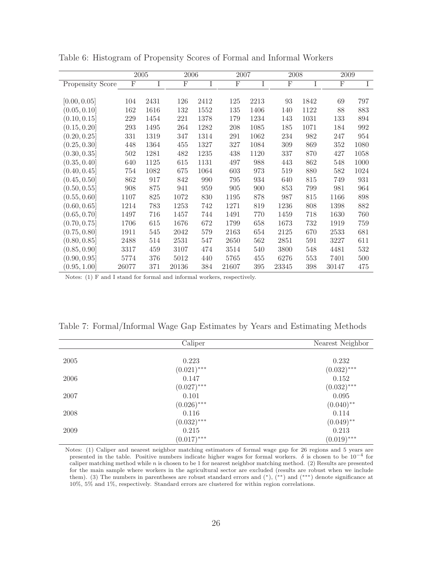|                  |       | 2005 | 2006        |      |       | 2007 |             | 2008 | 2009  |      |
|------------------|-------|------|-------------|------|-------|------|-------------|------|-------|------|
| Propensity Score | F     | I    | $\mathbf F$ | Ι    | F     | I    | $\mathbf F$ | I    | F     | I    |
|                  |       |      |             |      |       |      |             |      |       |      |
| [0.00, 0.05]     | 104   | 2431 | 126         | 2412 | 125   | 2213 | 93          | 1842 | 69    | 797  |
| (0.05, 0.10]     | 162   | 1616 | 132         | 1552 | 135   | 1406 | 140         | 1122 | 88    | 883  |
| (0.10, 0.15]     | 229   | 1454 | 221         | 1378 | 179   | 1234 | 143         | 1031 | 133   | 894  |
| (0.15, 0.20]     | 293   | 1495 | 264         | 1282 | 208   | 1085 | 185         | 1071 | 184   | 992  |
| (0.20, 0.25]     | 331   | 1319 | 347         | 1314 | 291   | 1062 | 234         | 982  | 247   | 954  |
| (0.25, 0.30]     | 448   | 1364 | 455         | 1327 | 327   | 1084 | 309         | 869  | 352   | 1080 |
| (0.30, 0.35]     | 502   | 1281 | 482         | 1235 | 438   | 1120 | 337         | 870  | 427   | 1058 |
| (0.35, 0.40]     | 640   | 1125 | 615         | 1131 | 497   | 988  | 443         | 862  | 548   | 1000 |
| (0.40, 0.45]     | 754   | 1082 | 675         | 1064 | 603   | 973  | 519         | 880  | 582   | 1024 |
| (0.45, 0.50]     | 862   | 917  | 842         | 990  | 795   | 934  | 640         | 815  | 749   | 931  |
| (0.50, 0.55]     | 908   | 875  | 941         | 959  | 905   | 900  | 853         | 799  | 981   | 964  |
| (0.55, 0.60]     | 1107  | 825  | 1072        | 830  | 1195  | 878  | 987         | 815  | 1166  | 898  |
| (0.60, 0.65]     | 1214  | 783  | 1253        | 742  | 1271  | 819  | 1236        | 808  | 1398  | 882  |
| (0.65, 0.70]     | 1497  | 716  | 1457        | 744  | 1491  | 770  | 1459        | 718  | 1630  | 760  |
| (0.70, 0.75]     | 1706  | 615  | 1676        | 672  | 1799  | 658  | 1673        | 732  | 1919  | 759  |
| (0.75, 0.80]     | 1911  | 545  | 2042        | 579  | 2163  | 654  | 2125        | 670  | 2533  | 681  |
| (0.80, 0.85]     | 2488  | 514  | 2531        | 547  | 2650  | 562  | 2851        | 591  | 3227  | 611  |
| (0.85, 0.90]     | 3317  | 459  | 3107        | 474  | 3514  | 540  | 3800        | 548  | 4481  | 532  |
| (0.90, 0.95]     | 5774  | 376  | 5012        | 440  | 5765  | 455  | 6276        | 553  | 7401  | 500  |
| (0.95, 1.00]     | 26077 | 371  | 20136       | 384  | 21607 | 395  | 23345       | 398  | 30147 | 475  |

Table 6: Histogram of Propensity Scores of Formal and Informal Workers

Notes: (1) F and I stand for formal and informal workers, respectively.

| Table 7: Formal/Informal Wage Gap Estimates by Years and Estimating Methods |  |  |  |  |  |  |  |  |  |
|-----------------------------------------------------------------------------|--|--|--|--|--|--|--|--|--|
|-----------------------------------------------------------------------------|--|--|--|--|--|--|--|--|--|

|      | Caliper       | Nearest Neighbor |
|------|---------------|------------------|
|      |               |                  |
| 2005 | 0.223         | 0.232            |
|      | $(0.021)$ *** | $(0.032)$ ***    |
| 2006 | 0.147         | 0.152            |
|      | $(0.027)$ *** | $(0.032)$ ***    |
| 2007 | 0.101         | 0.095            |
|      | $(0.026)$ *** | $(0.040)$ **     |
| 2008 | 0.116         | 0.114            |
|      | $(0.032)$ *** | $(0.049)$ **     |
| 2009 | 0.215         | 0.213            |
|      | $(0.017)$ *** | $(0.019)$ ***    |

Notes: (1) Caliper and nearest neighbor matching estimators of formal wage gap for 26 regions and 5 years are presented in the table. Positive numbers indicate higher wages for formal workers.  $\delta$  is chosen to be 10<sup>-4</sup> for caliper matching method while  $n$  is chosen to be 1 for nearest neighbor matching method. (2) Results are presented for the main sample where workers in the agricultural sector are excluded (results are robust when we include them). (3) The numbers in parentheses are robust standard errors and (∗), (∗∗) and (∗∗∗) denote significance at 10%, 5% and 1%, respectively. Standard errors are clustered for within region correlations.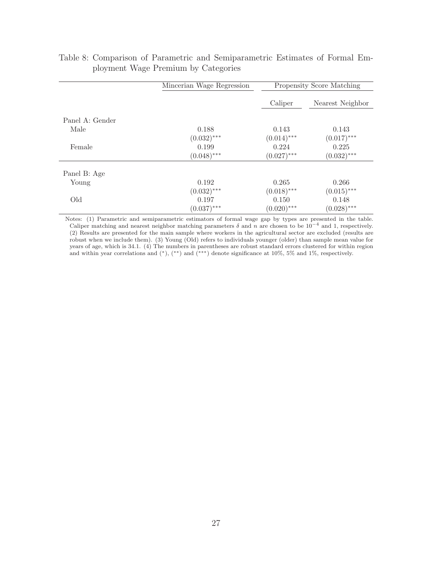|                 | Mincerian Wage Regression | Propensity Score Matching |                  |  |  |
|-----------------|---------------------------|---------------------------|------------------|--|--|
|                 |                           | Caliper                   | Nearest Neighbor |  |  |
| Panel A: Gender |                           |                           |                  |  |  |
| Male            | 0.188                     | 0.143                     | 0.143            |  |  |
|                 | $(0.032)$ ***             | $(0.014)$ ***             | $(0.017)$ ***    |  |  |
| Female          | 0.199                     | 0.224                     | 0.225            |  |  |
|                 | $(0.048)$ ***             | $(0.027)$ ***             | $(0.032)$ ***    |  |  |
| Panel B: Age    |                           |                           |                  |  |  |
| Young           | 0.192                     | 0.265                     | 0.266            |  |  |
|                 | $(0.032)$ ***             | $(0.018)$ ***             | $(0.015)$ ***    |  |  |
| Old             | 0.197                     | 0.150                     | 0.148            |  |  |
|                 | $(0.037)$ ***             | $(0.020)$ ***             | $(0.028)$ ***    |  |  |

|                                     |  | Table 8: Comparison of Parametric and Semiparametric Estimates of Formal Em- |  |  |
|-------------------------------------|--|------------------------------------------------------------------------------|--|--|
| ployment Wage Premium by Categories |  |                                                                              |  |  |

Notes: (1) Parametric and semiparametric estimators of formal wage gap by types are presented in the table. Caliper matching and nearest neighbor matching parameters  $\delta$  and n are chosen to be  $10^{-4}$  and 1, respectively. (2) Results are presented for the main sample where workers in the agricultural sector are excluded (results are robust when we include them). (3) Young (Old) refers to individuals younger (older) than sample mean value for years of age, which is 34.1. (4) The numbers in parentheses are robust standard errors clustered for within region and within year correlations and (∗), (∗∗) and (∗∗∗) denote significance at 10%, 5% and 1%, respectively.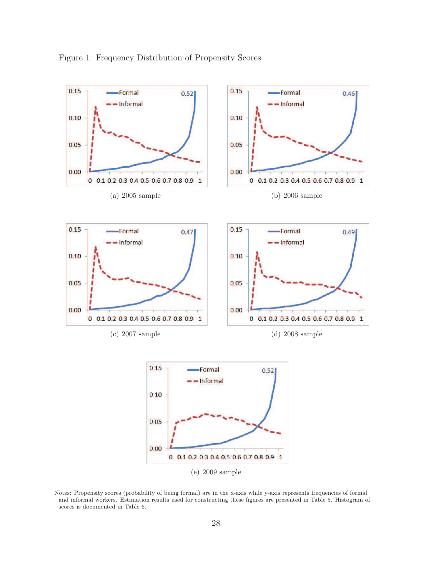

Figure 1: Frequency Distribution of Propensity Scores

(e) 2009 sample

Notes: Propensity scores (probability of being formal) are in the x-axis while y-axis represents frequencies of formal and informal workers. Estimation results used for constructing these figures are presented in Table 5. Histogram of scores is documented in Table 6.